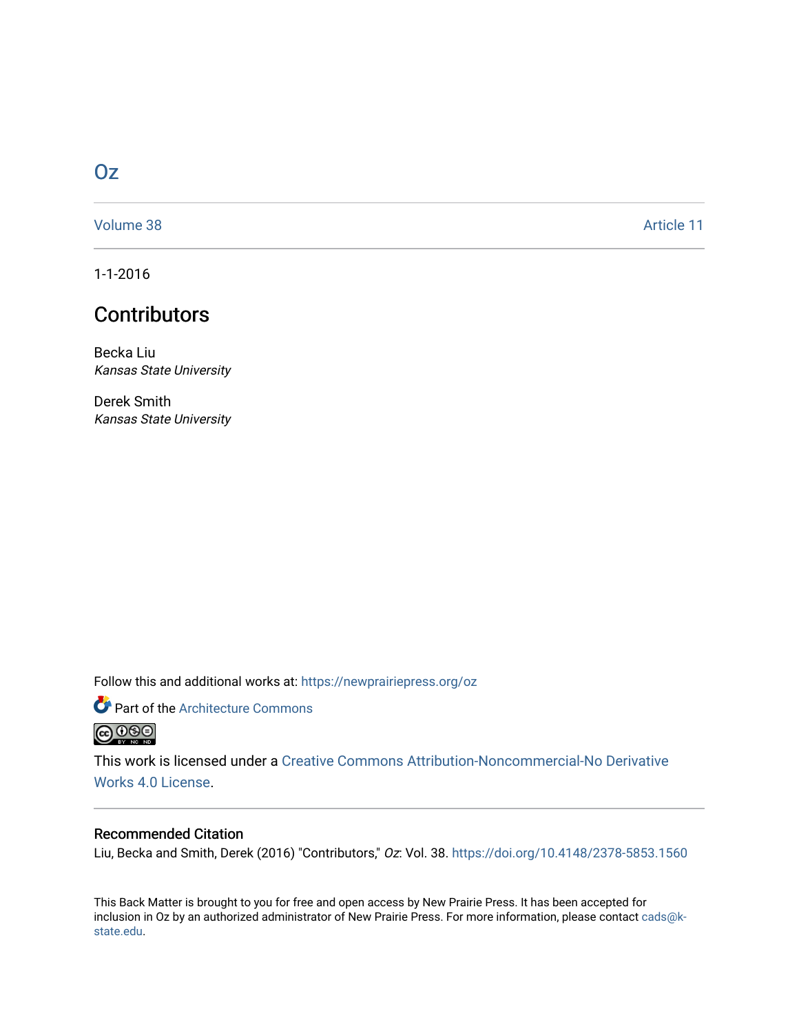## [Oz](https://newprairiepress.org/oz)

[Volume 38](https://newprairiepress.org/oz/vol38) Article 11

1-1-2016

# **Contributors**

Becka Liu Kansas State University

Derek Smith Kansas State University

Follow this and additional works at: [https://newprairiepress.org/oz](https://newprairiepress.org/oz?utm_source=newprairiepress.org%2Foz%2Fvol38%2Fiss1%2F11&utm_medium=PDF&utm_campaign=PDFCoverPages) 

Part of the [Architecture Commons](http://network.bepress.com/hgg/discipline/773?utm_source=newprairiepress.org%2Foz%2Fvol38%2Fiss1%2F11&utm_medium=PDF&utm_campaign=PDFCoverPages) 



This work is licensed under a [Creative Commons Attribution-Noncommercial-No Derivative](https://creativecommons.org/licenses/by-nc-nd/4.0/)  [Works 4.0 License](https://creativecommons.org/licenses/by-nc-nd/4.0/).

### Recommended Citation

Liu, Becka and Smith, Derek (2016) "Contributors," Oz: Vol. 38. <https://doi.org/10.4148/2378-5853.1560>

This Back Matter is brought to you for free and open access by New Prairie Press. It has been accepted for inclusion in Oz by an authorized administrator of New Prairie Press. For more information, please contact [cads@k](mailto:cads@k-state.edu)[state.edu](mailto:cads@k-state.edu).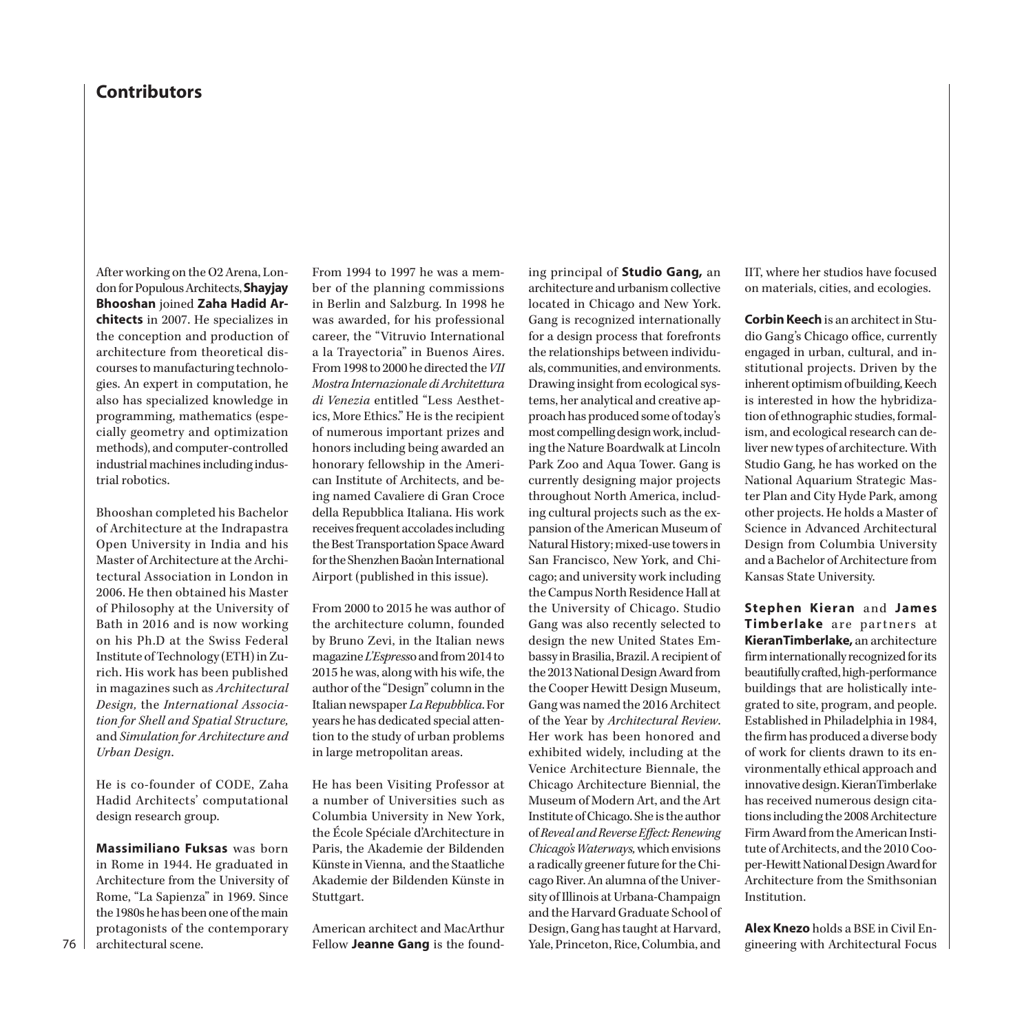## **Contributors**

After working on the O2 Arena, London for Populous Architects, **Shayjay Bhooshan** joined **Zaha Hadid Architects** in 2007. He specializes in the conception and production of architecture from theoretical discourses to manufacturing technologies. An expert in computation, he also has specialized knowledge in programming, mathematics (especially geometry and optimization methods), and computer-controlled industrial machines including industrial robotics.

Bhooshan completed his Bachelor of Architecture at the Indrapastra Open University in India and his Master of Architecture at the Architectural Association in London in 2006. He then obtained his Master of Philosophy at the University of Bath in 2016 and is now working on his Ph.D at the Swiss Federal Institute of Technology (ETH) in Zurich. His work has been published in magazines such as *Architectural Design,* the *International Association for Shell and Spatial Structure,* and *Simulation for Architecture and Urban Design*.

He is co-founder of CODE, Zaha Hadid Architects' computational design research group.

**Massimiliano Fuksas** was born in Rome in 1944. He graduated in Architecture from the University of Rome, "La Sapienza" in 1969. Since the 1980s he has been one of the main protagonists of the contemporary architectural scene.

From 1994 to 1997 he was a member of the planning commissions in Berlin and Salzburg. In 1998 he was awarded, for his professional career, the "Vitruvio International a la Trayectoria" in Buenos Aires. From 1998 to 2000 he directed the *VII Mostra Internazionale di Architettura di Venezia* entitled "Less Aesthetics, More Ethics." He is the recipient of numerous important prizes and honors including being awarded an honorary fellowship in the American Institute of Architects, and being named Cavaliere di Gran Croce della Repubblica Italiana. His work receives frequent accolades including the Best Transportation Space Award for the Shenzhen Bao'an International Airport (published in this issue).

From 2000 to 2015 he was author of the architecture column, founded by Bruno Zevi, in the Italian news magazine *L'Espress*o and from 2014 to 2015 he was, along with his wife, the author of the "Design" column in the Italian newspaper *La Repubblica*. For years he has dedicated special attention to the study of urban problems in large metropolitan areas.

He has been Visiting Professor at a number of Universities such as Columbia University in New York, the École Spéciale d'Architecture in Paris, the Akademie der Bildenden Künste in Vienna, and the Staatliche Akademie der Bildenden Künste in Stuttgart.

American architect and MacArthur Fellow **Jeanne Gang** is the founding principal of **Studio Gang,** an architecture and urbanism collective located in Chicago and New York. Gang is recognized internationally for a design process that forefronts the relationships between individuals, communities, and environments. Drawing insight from ecological systems, her analytical and creative approach has produced some of today's most compelling design work, including the Nature Boardwalk at Lincoln Park Zoo and Aqua Tower. Gang is currently designing major projects throughout North America, including cultural projects such as the expansion of the American Museum of Natural History; mixed-use towers in San Francisco, New York, and Chicago; and university work including the Campus North Residence Hall at the University of Chicago. Studio Gang was also recently selected to design the new United States Embassy in Brasilia, Brazil. A recipient of the 2013 National Design Award from the Cooper Hewitt Design Museum, Gang was named the 2016 Architect of the Year by *Architectural Review*. Her work has been honored and exhibited widely, including at the Venice Architecture Biennale, the Chicago Architecture Biennial, the Museum of Modern Art, and the Art Institute of Chicago. She is the author of *Reveal and Reverse Effect: Renewing Chicago's Waterways,* which envisions a radically greener future for the Chicago River. An alumna of the University of Illinois at Urbana-Champaign and the Harvard Graduate School of Design, Gang has taught at Harvard, Yale, Princeton, Rice, Columbia, and

IIT, where her studios have focused on materials, cities, and ecologies.

**Corbin Keech** is an architect in Studio Gang's Chicago office, currently engaged in urban, cultural, and institutional projects. Driven by the inherent optimism of building, Keech is interested in how the hybridization of ethnographic studies, formalism, and ecological research can deliver new types of architecture. With Studio Gang, he has worked on the National Aquarium Strategic Master Plan and City Hyde Park, among other projects. He holds a Master of Science in Advanced Architectural Design from Columbia University and a Bachelor of Architecture from Kansas State University.

**Stephen Kieran** and **James Timberlake** are partners at **KieranTimberlake,** an architecture firm internationally recognized for its beautifully crafted, high-performance buildings that are holistically integrated to site, program, and people. Established in Philadelphia in 1984, the firm has produced a diverse body of work for clients drawn to its environmentally ethical approach and innovative design. KieranTimberlake has received numerous design citations including the 2008 Architecture Firm Award from the American Institute of Architects, and the 2010 Cooper-Hewitt National Design Award for Architecture from the Smithsonian Institution.

**Alex Knezo** holds a BSE in Civil Engineering with Architectural Focus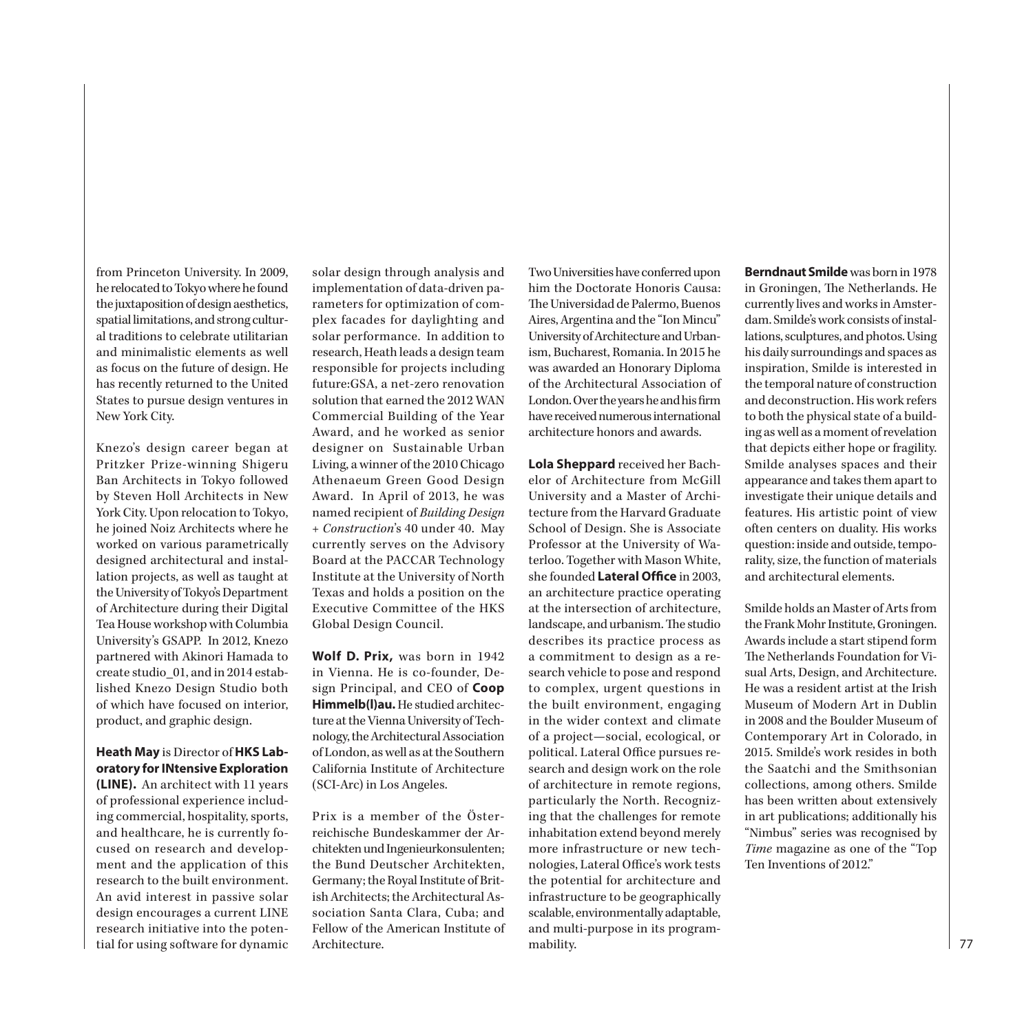from Princeton University. In 2009, he relocated to Tokyo where he found the juxtaposition of design aesthetics, spatial limitations, and strong cultural traditions to celebrate utilitarian and minimalistic elements as well as focus on the future of design. He has recently returned to the United States to pursue design ventures in New York City.

Knezo's design career began at Pritzker Prize-winning Shigeru Ban Architects in Tokyo followed by Steven Holl Architects in New York City. Upon relocation to Tokyo, he joined Noiz Architects where he worked on various parametrically designed architectural and installation projects, as well as taught at the University of Tokyo's Department of Architecture during their Digital Tea House workshop with Columbia University's GSAPP. In 2012, Knezo partnered with Akinori Hamada to create studio\_01, and in 2014 established Knezo Design Studio both of which have focused on interior, product, and graphic design.

**Heath May** is Director of **HKS Laboratory for INtensive Exploration (LINE).** An architect with 11 years of professional experience including commercial, hospitality, sports, and healthcare, he is currently focused on research and development and the application of this research to the built environment. An avid interest in passive solar design encourages a current LINE research initiative into the potential for using software for dynamic

solar design through analysis and implementation of data-driven parameters for optimization of complex facades for daylighting and solar performance. In addition to research, Heath leads a design team responsible for projects including future:GSA, a net-zero renovation solution that earned the 2012 WAN Commercial Building of the Year Award, and he worked as senior designer on Sustainable Urban Living, a winner of the 2010 Chicago Athenaeum Green Good Design Award. In April of 2013, he was named recipient of *Building Design + Construction*'s 40 under 40. May currently serves on the Advisory Board at the PACCAR Technology Institute at the University of North Texas and holds a position on the Executive Committee of the HKS Global Design Council.

**Wolf D. Prix,** was born in 1942 in Vienna. He is co-founder, Design Principal, and CEO of **Coop Himmelb(l)au.** He studied architecture at the Vienna University of Technology, the Architectural Association of London, as well as at the Southern California Institute of Architecture (SCI-Arc) in Los Angeles.

Prix is a member of the Österreichische Bundeskammer der Architekten und Ingenieurkonsulenten; the Bund Deutscher Architekten, Germany; the Royal Institute of British Architects; the Architectural Association Santa Clara, Cuba; and Fellow of the American Institute of Architecture.

Two Universities have conferred upon him the Doctorate Honoris Causa: The Universidad de Palermo, Buenos Aires, Argentina and the "Ion Mincu" University of Architecture and Urbanism, Bucharest, Romania. In 2015 he was awarded an Honorary Diploma of the Architectural Association of London. Over the years he and his firm have received numerous international architecture honors and awards.

**Lola Sheppard** received her Bachelor of Architecture from McGill University and a Master of Architecture from the Harvard Graduate School of Design. She is Associate Professor at the University of Waterloo. Together with Mason White, she founded **Lateral Office** in 2003, an architecture practice operating at the intersection of architecture, landscape, and urbanism. The studio describes its practice process as a commitment to design as a research vehicle to pose and respond to complex, urgent questions in the built environment, engaging in the wider context and climate of a project—social, ecological, or political. Lateral Office pursues research and design work on the role of architecture in remote regions, particularly the North. Recognizing that the challenges for remote inhabitation extend beyond merely more infrastructure or new technologies, Lateral Office's work tests the potential for architecture and infrastructure to be geographically scalable, environmentally adaptable, and multi-purpose in its programmability.

**Berndnaut Smilde** was born in 1978 in Groningen, The Netherlands. He currently lives and works in Amsterdam. Smilde's work consists of installations, sculptures, and photos. Using his daily surroundings and spaces as inspiration, Smilde is interested in the temporal nature of construction and deconstruction. His work refers to both the physical state of a building as well as a moment of revelation that depicts either hope or fragility. Smilde analyses spaces and their appearance and takes them apart to investigate their unique details and features. His artistic point of view often centers on duality. His works question: inside and outside, temporality, size, the function of materials and architectural elements.

Smilde holds an Master of Arts from the Frank Mohr Institute, Groningen. Awards include a start stipend form The Netherlands Foundation for Visual Arts, Design, and Architecture. He was a resident artist at the Irish Museum of Modern Art in Dublin in 2008 and the Boulder Museum of Contemporary Art in Colorado, in 2015. Smilde's work resides in both the Saatchi and the Smithsonian collections, among others. Smilde has been written about extensively in art publications; additionally his "Nimbus" series was recognised by *Time* magazine as one of the "Top Ten Inventions of 2012."